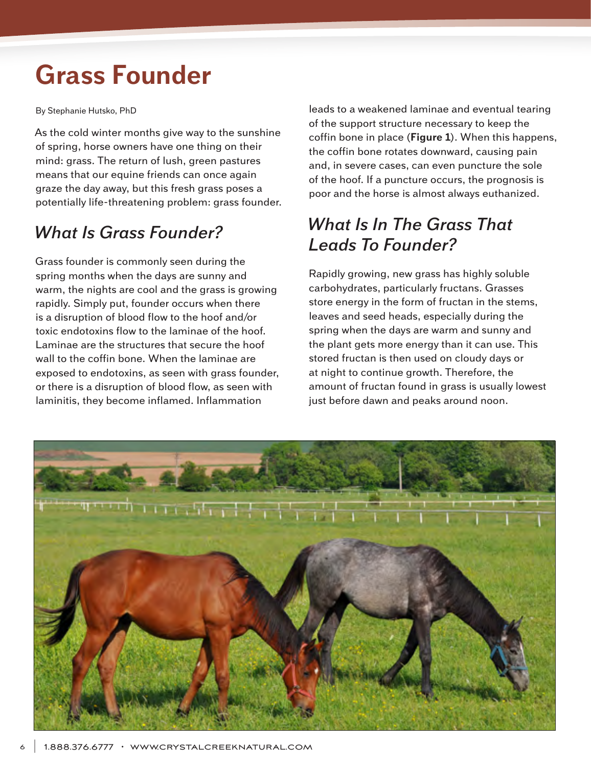## **Grass Founder**

By Stephanie Hutsko, PhD

As the cold winter months give way to the sunshine of spring, horse owners have one thing on their mind: grass. The return of lush, green pastures means that our equine friends can once again graze the day away, but this fresh grass poses a potentially life-threatening problem: grass founder.

## *What Is Grass Founder?*

Grass founder is commonly seen during the spring months when the days are sunny and warm, the nights are cool and the grass is growing rapidly. Simply put, founder occurs when there is a disruption of blood flow to the hoof and/or toxic endotoxins flow to the laminae of the hoof. Laminae are the structures that secure the hoof wall to the coffin bone. When the laminae are exposed to endotoxins, as seen with grass founder, or there is a disruption of blood flow, as seen with laminitis, they become inflamed. Inflammation

leads to a weakened laminae and eventual tearing of the support structure necessary to keep the coffin bone in place (**Figure 1**). When this happens, the coffin bone rotates downward, causing pain and, in severe cases, can even puncture the sole of the hoof. If a puncture occurs, the prognosis is poor and the horse is almost always euthanized.

## *What Is In The Grass That Leads To Founder?*

Rapidly growing, new grass has highly soluble carbohydrates, particularly fructans. Grasses store energy in the form of fructan in the stems, leaves and seed heads, especially during the spring when the days are warm and sunny and the plant gets more energy than it can use. This stored fructan is then used on cloudy days or at night to continue growth. Therefore, the amount of fructan found in grass is usually lowest just before dawn and peaks around noon.